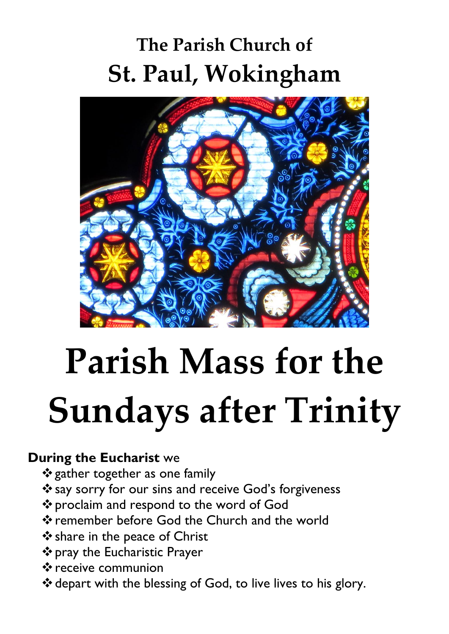# **The Parish Church of St. Paul, Wokingham**



# **Parish Mass for the Sundays after Trinity**

#### **During the Eucharist** we

- ❖gather together as one family
- ❖say sorry for our sins and receive God's forgiveness
- ❖proclaim and respond to the word of God
- ❖remember before God the Church and the world
- ❖share in the peace of Christ
- ❖pray the Eucharistic Prayer
- ❖receive communion
- ❖depart with the blessing of God, to live lives to his glory.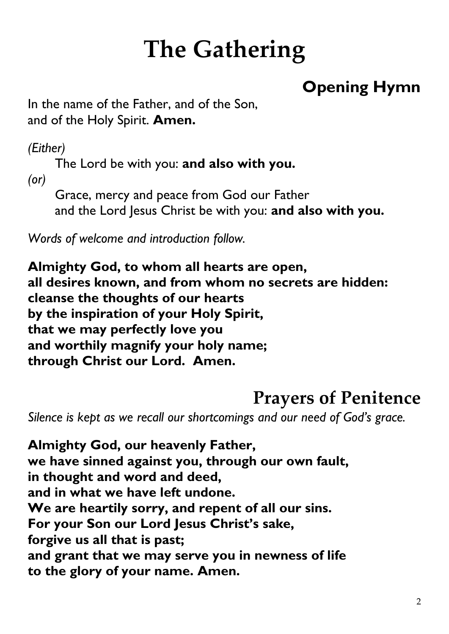# **The Gathering**

#### **Opening Hymn**

In the name of the Father, and of the Son, and of the Holy Spirit. **Amen.**

*(Either)*

The Lord be with you: **and also with you.**

*(or)*

Grace, mercy and peace from God our Father and the Lord Jesus Christ be with you: **and also with you.**

*Words of welcome and introduction follow.* 

**Almighty God, to whom all hearts are open, all desires known, and from whom no secrets are hidden: cleanse the thoughts of our hearts by the inspiration of your Holy Spirit, that we may perfectly love you and worthily magnify your holy name; through Christ our Lord. Amen.**

#### **Prayers of Penitence**

*Silence is kept as we recall our shortcomings and our need of God's grace.*

**Almighty God, our heavenly Father, we have sinned against you, through our own fault, in thought and word and deed, and in what we have left undone. We are heartily sorry, and repent of all our sins. For your Son our Lord Jesus Christ's sake, forgive us all that is past; and grant that we may serve you in newness of life to the glory of your name. Amen.**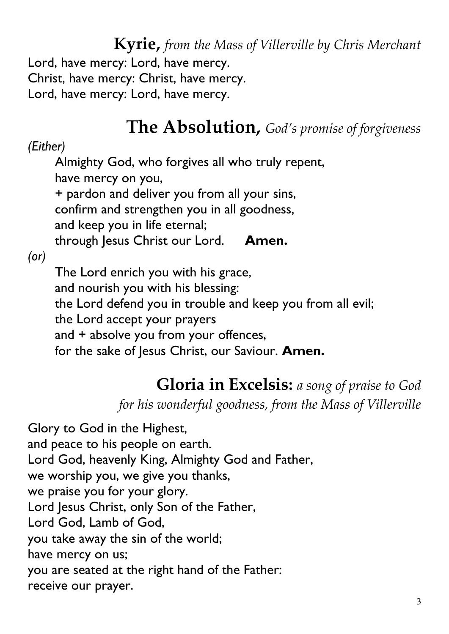**Kyrie,** *from the Mass of Villerville by Chris Merchant* Lord, have mercy: Lord, have mercy. Christ, have mercy: Christ, have mercy. Lord, have mercy: Lord, have mercy.

### **The Absolution,** *God's promise of forgiveness*

#### *(Either)*

Almighty God, who forgives all who truly repent, have mercy on you, + pardon and deliver you from all your sins,

confirm and strengthen you in all goodness,

and keep you in life eternal;

through Jesus Christ our Lord. **Amen.** 

*(or)*

The Lord enrich you with his grace, and nourish you with his blessing: the Lord defend you in trouble and keep you from all evil; the Lord accept your prayers and + absolve you from your offences, for the sake of Jesus Christ, our Saviour. **Amen.**

#### **Gloria in Excelsis:** *a song of praise to God*

*for his wonderful goodness, from the Mass of Villerville*

Glory to God in the Highest, and peace to his people on earth. Lord God, heavenly King, Almighty God and Father, we worship you, we give you thanks, we praise you for your glory. Lord Jesus Christ, only Son of the Father, Lord God, Lamb of God, you take away the sin of the world; have mercy on us; you are seated at the right hand of the Father: receive our prayer.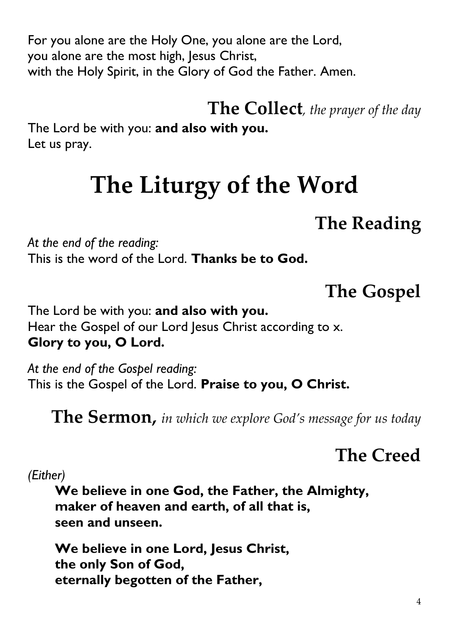For you alone are the Holy One, you alone are the Lord, you alone are the most high, Jesus Christ, with the Holy Spirit, in the Glory of God the Father. Amen.

**The Collect***, the prayer of the day*

The Lord be with you: **and also with you.**  Let us pray.

# **The Liturgy of the Word**

### **The Reading**

*At the end of the reading:* This is the word of the Lord. **Thanks be to God.** 

**The Gospel**

The Lord be with you: **and also with you.**  Hear the Gospel of our Lord Jesus Christ according to x. **Glory to you, O Lord.** 

*At the end of the Gospel reading:* This is the Gospel of the Lord. **Praise to you, O Christ.**

**The Sermon,** *in which we explore God's message for us today*

#### **The Creed**

*(Either)*

**We believe in one God, the Father, the Almighty, maker of heaven and earth, of all that is, seen and unseen.** 

**We believe in one Lord, Jesus Christ, the only Son of God, eternally begotten of the Father,**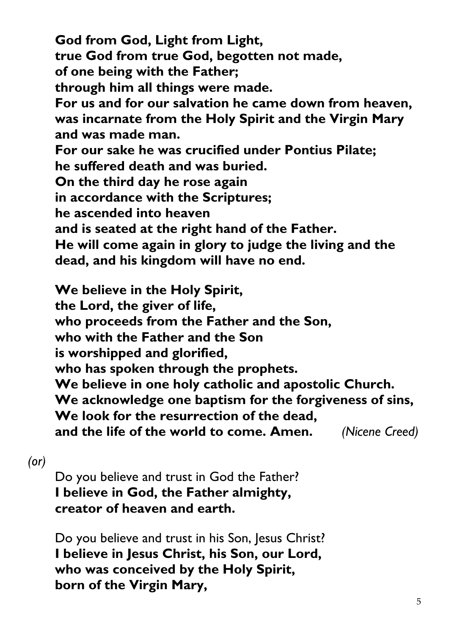**God from God, Light from Light, true God from true God, begotten not made, of one being with the Father; through him all things were made. For us and for our salvation he came down from heaven, was incarnate from the Holy Spirit and the Virgin Mary and was made man. For our sake he was crucified under Pontius Pilate; he suffered death and was buried. On the third day he rose again in accordance with the Scriptures; he ascended into heaven and is seated at the right hand of the Father. He will come again in glory to judge the living and the dead, and his kingdom will have no end.** 

**We believe in the Holy Spirit, the Lord, the giver of life, who proceeds from the Father and the Son, who with the Father and the Son is worshipped and glorified, who has spoken through the prophets. We believe in one holy catholic and apostolic Church. We acknowledge one baptism for the forgiveness of sins, We look for the resurrection of the dead, and the life of the world to come. Amen.** *(Nicene Creed)*

#### *(or)*

Do you believe and trust in God the Father? **I believe in God, the Father almighty, creator of heaven and earth.** 

Do you believe and trust in his Son, Jesus Christ? **I believe in Jesus Christ, his Son, our Lord, who was conceived by the Holy Spirit, born of the Virgin Mary,**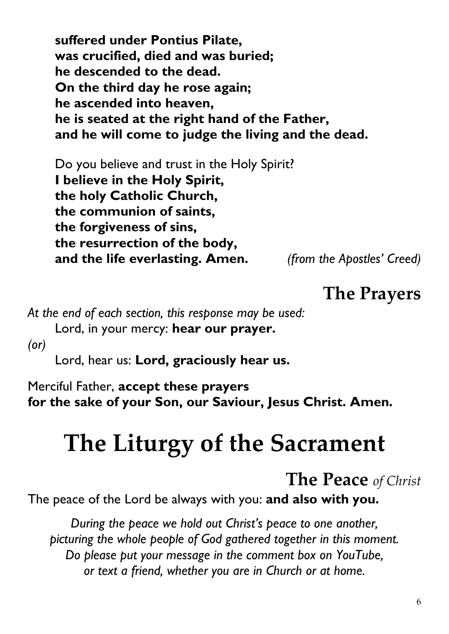**suffered under Pontius Pilate, was crucified, died and was buried; he descended to the dead. On the third day he rose again; he ascended into heaven, he is seated at the right hand of the Father, and he will come to judge the living and the dead.**

Do you believe and trust in the Holy Spirit? **I believe in the Holy Spirit, the holy Catholic Church, the communion of saints, the forgiveness of sins, the resurrection of the body, and the life everlasting. Amen.** *(from the Apostles' Creed)*

#### **The Prayers**

*At the end of each section, this response may be used:* 

Lord, in your mercy: **hear our prayer.**

*(or)*

Lord, hear us: **Lord, graciously hear us.** 

Merciful Father, **accept these prayers for the sake of your Son, our Saviour, Jesus Christ. Amen.** 

# **The Liturgy of the Sacrament**

#### **The Peace** *of Christ*

The peace of the Lord be always with you: **and also with you.**

*During the peace we hold out Christ's peace to one another, picturing the whole people of God gathered together in this moment. Do please put your message in the comment box on YouTube, or text a friend, whether you are in Church or at home.*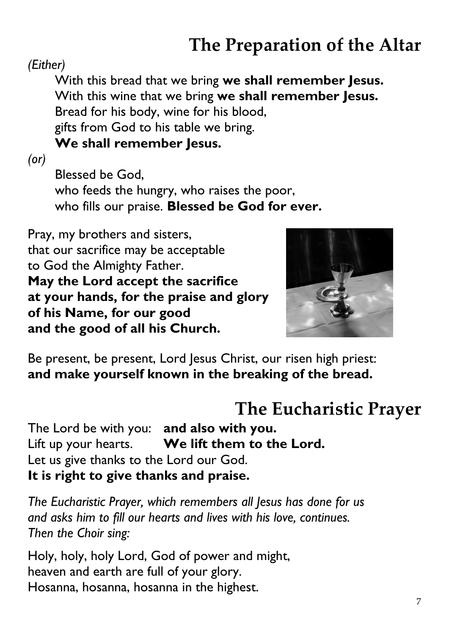# **The Preparation of the Altar**

#### *(Either)*

With this bread that we bring **we shall remember Jesus.** With this wine that we bring **we shall remember Jesus.** Bread for his body, wine for his blood, gifts from God to his table we bring. **We shall remember Jesus.**

*(or)*

Blessed be God, who feeds the hungry, who raises the poor, who fills our praise. **Blessed be God for ever.**

Pray, my brothers and sisters, that our sacrifice may be acceptable to God the Almighty Father. **May the Lord accept the sacrifice at your hands, for the praise and glory of his Name, for our good and the good of all his Church.** 



Be present, be present, Lord Jesus Christ, our risen high priest: **and make yourself known in the breaking of the bread.** 

#### **The Eucharistic Prayer**

The Lord be with you: **and also with you.** Lift up your hearts. **We lift them to the Lord.** Let us give thanks to the Lord our God. **It is right to give thanks and praise.**

*The Eucharistic Prayer, which remembers all Jesus has done for us and asks him to fill our hearts and lives with his love, continues. Then the Choir sing:* 

Holy, holy, holy Lord, God of power and might, heaven and earth are full of your glory. Hosanna, hosanna, hosanna in the highest.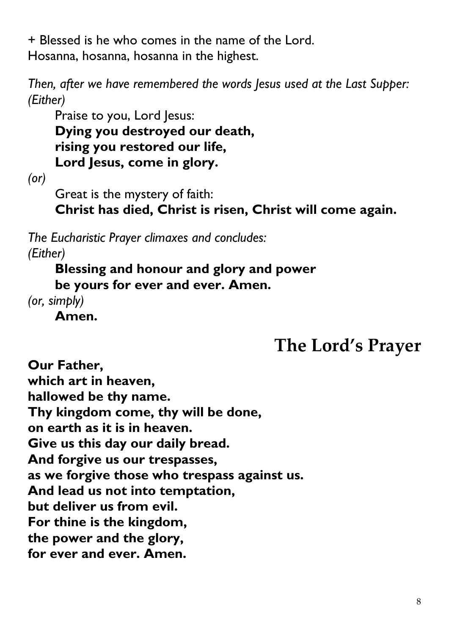+ Blessed is he who comes in the name of the Lord. Hosanna, hosanna, hosanna in the highest.

*Then, after we have remembered the words Jesus used at the Last Supper: (Either)*

Praise to you, Lord Jesus: **Dying you destroyed our death, rising you restored our life, Lord Jesus, come in glory.**

*(or)*

Great is the mystery of faith:

**Christ has died, Christ is risen, Christ will come again.**

*The Eucharistic Prayer climaxes and concludes: (Either)*

**Blessing and honour and glory and power be yours for ever and ever. Amen.** 

*(or, simply)*

**Amen.**

**The Lord's Prayer**

**Our Father, which art in heaven, hallowed be thy name. Thy kingdom come, thy will be done, on earth as it is in heaven. Give us this day our daily bread. And forgive us our trespasses, as we forgive those who trespass against us. And lead us not into temptation, but deliver us from evil. For thine is the kingdom, the power and the glory, for ever and ever. Amen.**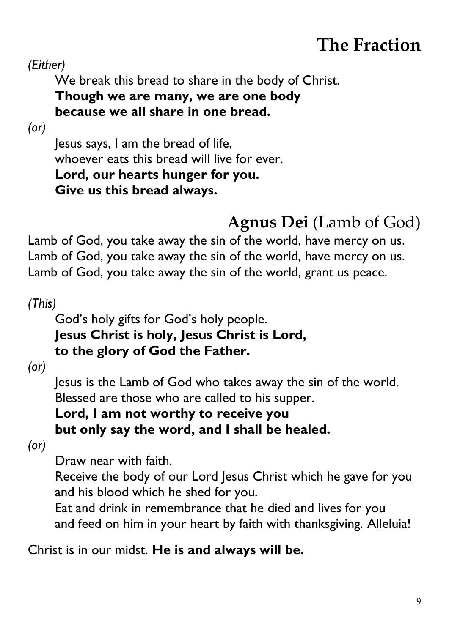## **The Fraction**

*(Either)*

We break this bread to share in the body of Christ.

#### **Though we are many, we are one body because we all share in one bread.**

*(or)*

Jesus says, I am the bread of life, whoever eats this bread will live for ever. **Lord, our hearts hunger for you. Give us this bread always.** 

### **Agnus Dei** (Lamb of God)

Lamb of God, you take away the sin of the world, have mercy on us. Lamb of God, you take away the sin of the world, have mercy on us. Lamb of God, you take away the sin of the world, grant us peace.

*(This)*

#### God's holy gifts for God's holy people. **Jesus Christ is holy, Jesus Christ is Lord, to the glory of God the Father.**

*(or)*

Jesus is the Lamb of God who takes away the sin of the world. Blessed are those who are called to his supper.

#### **Lord, I am not worthy to receive you but only say the word, and I shall be healed.**

*(or)*

Draw near with faith.

Receive the body of our Lord Jesus Christ which he gave for you and his blood which he shed for you.

Eat and drink in remembrance that he died and lives for you and feed on him in your heart by faith with thanksgiving. Alleluia!

Christ is in our midst. **He is and always will be.**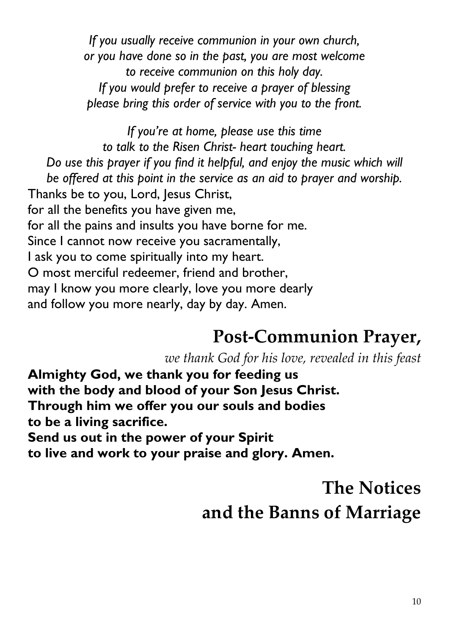*If you usually receive communion in your own church, or you have done so in the past, you are most welcome to receive communion on this holy day. If you would prefer to receive a prayer of blessing please bring this order of service with you to the front.* 

*If you're at home, please use this time to talk to the Risen Christ- heart touching heart. Do use this prayer if you find it helpful, and enjoy the music which will be offered at this point in the service as an aid to prayer and worship.* Thanks be to you, Lord, Jesus Christ, for all the benefits you have given me, for all the pains and insults you have borne for me. Since I cannot now receive you sacramentally, I ask you to come spiritually into my heart. O most merciful redeemer, friend and brother, may I know you more clearly, love you more dearly and follow you more nearly, day by day. Amen.

#### **Post-Communion Prayer,**

*we thank God for his love, revealed in this feast*

**Almighty God, we thank you for feeding us with the body and blood of your Son Jesus Christ. Through him we offer you our souls and bodies to be a living sacrifice. Send us out in the power of your Spirit** 

**to live and work to your praise and glory. Amen.** 

### **The Notices and the Banns of Marriage**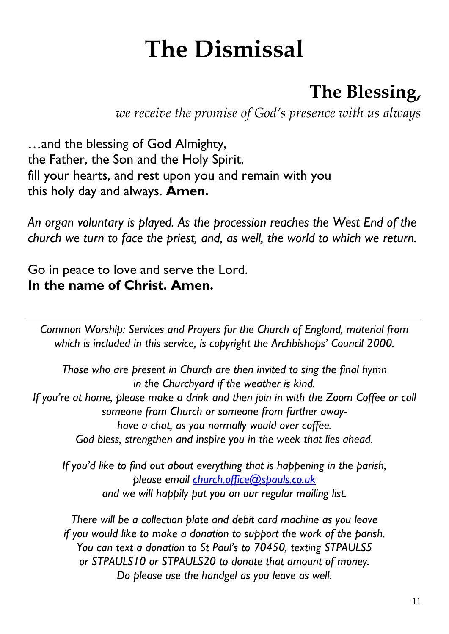# **The Dismissal**

### **The Blessing,**

*we receive the promise of God's presence with us always*

…and the blessing of God Almighty, the Father, the Son and the Holy Spirit, fill your hearts, and rest upon you and remain with you this holy day and always. **Amen.**

*An organ voluntary is played. As the procession reaches the West End of the church we turn to face the priest, and, as well, the world to which we return.* 

Go in peace to love and serve the Lord. **In the name of Christ. Amen.** 

*Common Worship: Services and Prayers for the Church of England, material from which is included in this service, is copyright the Archbishops' Council 2000.*

*Those who are present in Church are then invited to sing the final hymn in the Churchyard if the weather is kind. If you're at home, please make a drink and then join in with the Zoom Coffee or call someone from Church or someone from further awayhave a chat, as you normally would over coffee. God bless, strengthen and inspire you in the week that lies ahead.*

*If you'd like to find out about everything that is happening in the parish, please email [church.office@spauls.co.uk](mailto:church.office@spauls.co.uk) and we will happily put you on our regular mailing list.* 

*There will be a collection plate and debit card machine as you leave if you would like to make a donation to support the work of the parish. You can text a donation to St Paul's to 70450, texting STPAULS5 or STPAULS10 or STPAULS20 to donate that amount of money. Do please use the handgel as you leave as well.*